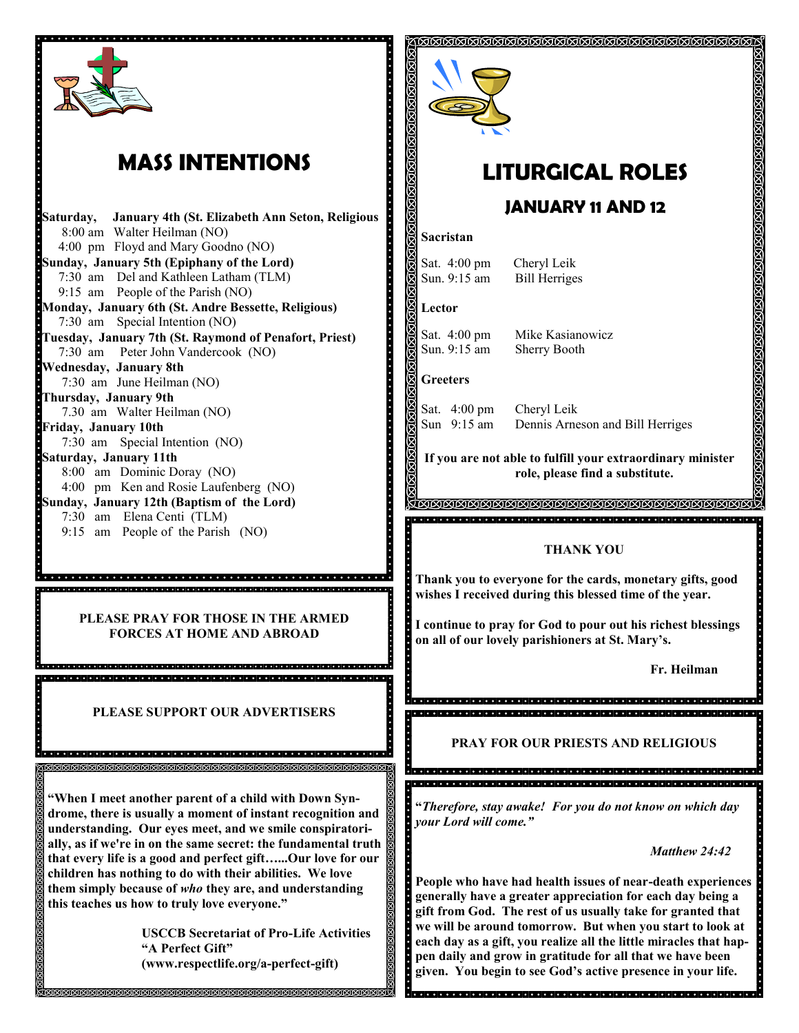

## **MASS INTENTIONS**

**Saturday, January 4th (St. Elizabeth Ann Seton, Religious** 8:00 am Walter Heilman (NO) 4:00 pm Floyd and Mary Goodno (NO) **Sunday, January 5th (Epiphany of the Lord)** 7:30 am Del and Kathleen Latham (TLM) 9:15 am People of the Parish (NO) **Monday, January 6th (St. Andre Bessette, Religious)**  7:30 am Special Intention (NO) **Tuesday, January 7th (St. Raymond of Penafort, Priest)** 7:30 am Peter John Vandercook (NO) **Wednesday, January 8th** 7:30 am June Heilman (NO) **Thursday, January 9th** 7.30 am Walter Heilman (NO) **Friday, January 10th** 7:30 am Special Intention (NO) **Saturday, January 11th** 8:00 am Dominic Doray (NO) 4:00 pm Ken and Rosie Laufenberg (NO) **Sunday, January 12th (Baptism of the Lord)** 7:30 am Elena Centi (TLM) 9:15 am People of the Parish (NO)

**PLEASE PRAY FOR THOSE IN THE ARMED FORCES AT HOME AND ABROAD**

**PLEASE SUPPORT OUR ADVERTISERS**

8 aasta aasta aasta aasta aasta aasta aasta aasta aasta aasta aasta aasta aasta aasta 

**"When I meet another parent of a child with Down Syndrome, there is usually a moment of instant recognition and understanding. Our eyes meet, and we smile conspiratorially, as if we're in on the same secret: the fundamental truth that every life is a good and perfect gift…...Our love for our children has nothing to do with their abilities. We love them simply because of** *who* **they are, and understanding this teaches us how to truly love everyone."**

> **USCCB Secretariat of Pro-Life Activities "A Perfect Gift" (www.respectlife.org/a-perfect-gift)**



# **LITURGICAL ROLES**

ଶଗଗଗଗଗଗଗଗଗଗଗଗଗଗଗଗଗଗଗଗଗଗଗଗଗଗଗଗ

## **JANUARY 11 AND 12**

#### **Sacristan**

Sat. 4:00 pm Cheryl Leik

Sun. 9:15 am Bill Herriges

#### **Lector**

Sat. 4:00 pm Mike Kasianowicz Sun. 9:15 am Sherry Booth

### **Greeters**

ė

Sat. 4:00 pm Cheryl Leik<br>Sun 9:15 am Dennis Arne Dennis Arneson and Bill Herriges

**If you are not able to fulfill your extraordinary minister role, please find a substitute.** 

la algla algla algla algla algla algla algla algla algla algla algla algla algla algla algla algla algl

### **MAAAAAAAAAAAAAAAAAAAAAAAAAAAAAAAAA**

#### **THANK YOU**

**Thank you to everyone for the cards, monetary gifts, good wishes I received during this blessed time of the year.**

i. **I continue to pray for God to pour out his richest blessings on all of our lovely parishioners at St. Mary's.**

a<br>Arabado da da daga da daga da daga da daga da da da da da daga daga da d dia del calendario de la designazione del coloro de la del calendario del calendario del calendario del

**Fr. Heilman**

**PRAY FOR OUR PRIESTS AND RELIGIOUS**

**"***Therefore, stay awake! For you do not know on which day your Lord will come."*

*Matthew 24:42*

**People who have had health issues of near-death experiences generally have a greater appreciation for each day being a gift from God. The rest of us usually take for granted that we will be around tomorrow. But when you start to look at each day as a gift, you realize all the little miracles that happen daily and grow in gratitude for all that we have been given. You begin to see God's active presence in your life.**